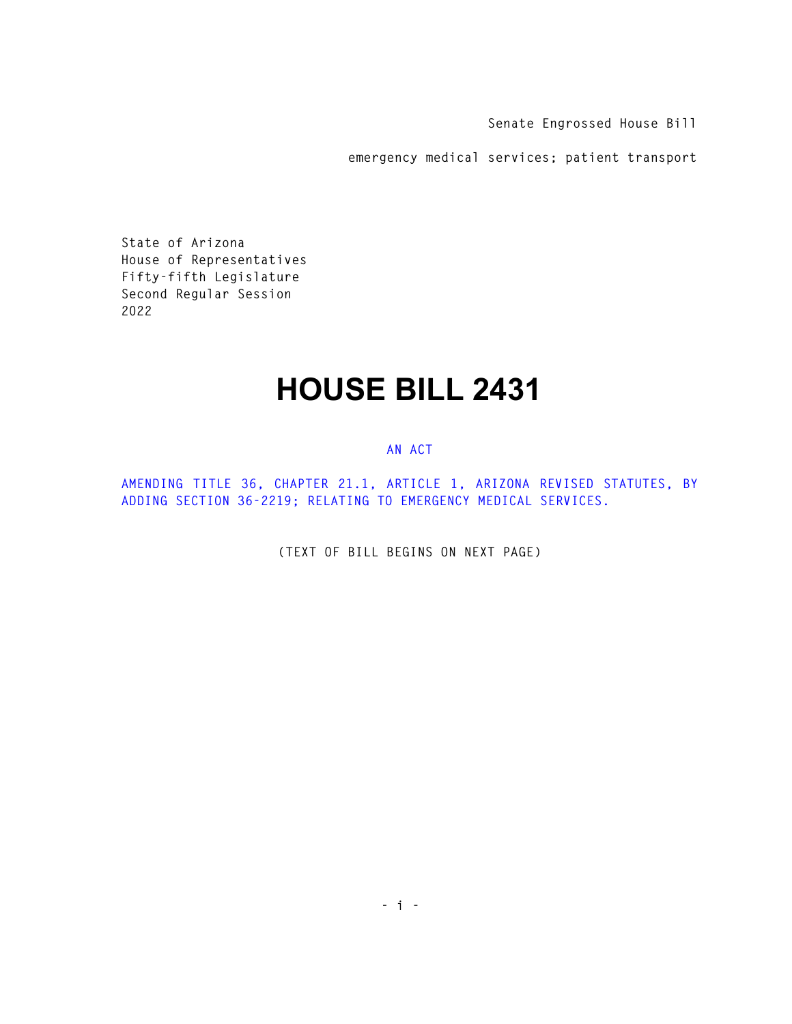**Senate Engrossed House Bill** 

**emergency medical services; patient transport** 

**State of Arizona House of Representatives Fifty-fifth Legislature Second Regular Session 2022** 

## **HOUSE BILL 2431**

## **AN ACT**

**AMENDING TITLE 36, CHAPTER 21.1, ARTICLE 1, ARIZONA REVISED STATUTES, BY ADDING SECTION 36-2219; RELATING TO EMERGENCY MEDICAL SERVICES.** 

**(TEXT OF BILL BEGINS ON NEXT PAGE)**